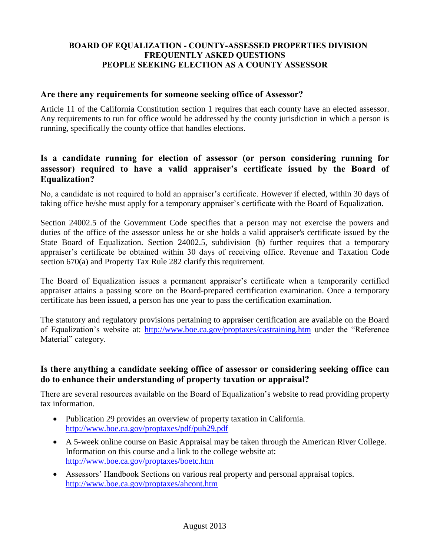### **BOARD OF EQUALIZATION - COUNTY-ASSESSED PROPERTIES DIVISION FREQUENTLY ASKED QUESTIONS PEOPLE SEEKING ELECTION AS A COUNTY ASSESSOR**

### **Are there any requirements for someone seeking office of Assessor?**

Article 11 of the California Constitution section 1 requires that each county have an elected assessor. Any requirements to run for office would be addressed by the county jurisdiction in which a person is running, specifically the county office that handles elections.

### **Is a candidate running for election of assessor (or person considering running for assessor) required to have a valid appraiser's certificate issued by the Board of Equalization?**

No, a candidate is not required to hold an appraiser's certificate. However if elected, within 30 days of taking office he/she must apply for a temporary appraiser's certificate with the Board of Equalization.

Section 24002.5 of the Government Code specifies that a person may not exercise the powers and duties of the office of the assessor unless he or she holds a valid appraiser's certificate issued by the State Board of Equalization. Section 24002.5, subdivision (b) further requires that a temporary appraiser's certificate be obtained within 30 days of receiving office. Revenue and Taxation Code section 670(a) and Property Tax Rule 282 clarify this requirement.

The Board of Equalization issues a permanent appraiser's certificate when a temporarily certified appraiser attains a passing score on the Board-prepared certification examination. Once a temporary certificate has been issued, a person has one year to pass the certification examination.

The statutory and regulatory provisions pertaining to appraiser certification are available on the Board of Equalization's website at: <http://www.boe.ca.gov/proptaxes/castraining.htm> under the "Reference Material" category.

### **Is there anything a candidate seeking office of assessor or considering seeking office can do to enhance their understanding of property taxation or appraisal?**

There are several resources available on the Board of Equalization's website to read providing property tax information.

- Publication 29 provides an overview of property taxation in California. <http://www.boe.ca.gov/proptaxes/pdf/pub29.pdf>
- A 5-week online course on Basic Appraisal may be taken through the American River College. Information on this course and a link to the college website at: <http://www.boe.ca.gov/proptaxes/boetc.htm>
- Assessors' Handbook Sections on various real property and personal appraisal topics. <http://www.boe.ca.gov/proptaxes/ahcont.htm>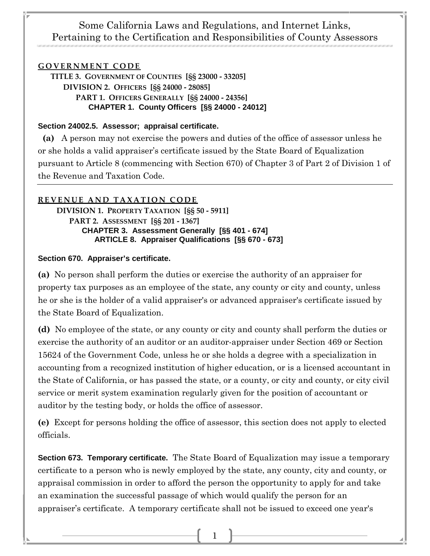## Some California Laws and Regulations, and Internet Links, Pertaining to the Certification and Responsibilities of County Assessors

#### **GOVERNMENT CODE**

**TITLE 3. GOVERNMENT OF COUNTIES [§§ 23000 - 33205] DIVISION 2. OFFICERS [§§ 24000 - 28085] PART 1. OFFICERS GENERALLY [§§ 24000 - 24356] CHAPTER 1. County Officers [§§ 24000 - 24012]**

#### **Section 24002.5. Assessor; appraisal certificate.**

 **(a)** A person may not exercise the powers and duties of the office of assessor unless he or she holds a valid appraiser's certificate issued by the State Board of Equalization pursuant to Article 8 (commencing with Section 670) of Chapter 3 of Part 2 of Division 1 of the Revenue and Taxation Code.

#### **REVENUE AND TAXATION CODE**

**DIVISION 1. PROPERTY TAXATION [§§ 50 - 5911] PART 2. ASSESSMENT [§§ 201 - 1367] CHAPTER 3. Assessment Generally [§§ 401 - 674] ARTICLE 8. Appraiser Qualifications [§§ 670 - 673]**

#### **Section 670. Appraiser's certificate.**

**(a)** No person shall perform the duties or exercise the authority of an appraiser for property tax purposes as an employee of the state, any county or city and county, unless he or she is the holder of a valid appraiser's or advanced appraiser's certificate issued by the State Board of Equalization.

**(d)** No employee of the state, or any county or city and county shall perform the duties or exercise the authority of an auditor or an auditor-appraiser under Section 469 or Section 15624 of the Government Code, unless he or she holds a degree with a specialization in accounting from a recognized institution of higher education, or is a licensed accountant in the State of California, or has passed the state, or a county, or city and county, or city civil service or merit system examination regularly given for the position of accountant or auditor by the testing body, or holds the office of assessor.

**(e)** Except for persons holding the office of assessor, this section does not apply to elected officials.

**Section 673. Temporary certificate.** The State Board of Equalization may issue a temporary certificate to a person who is newly employed by the state, any county, city and county, or appraisal commission in order to afford the person the opportunity to apply for and take an examination the successful passage of which would qualify the person for an appraiser's certificate. A temporary certificate shall not be issued to exceed one year's

1